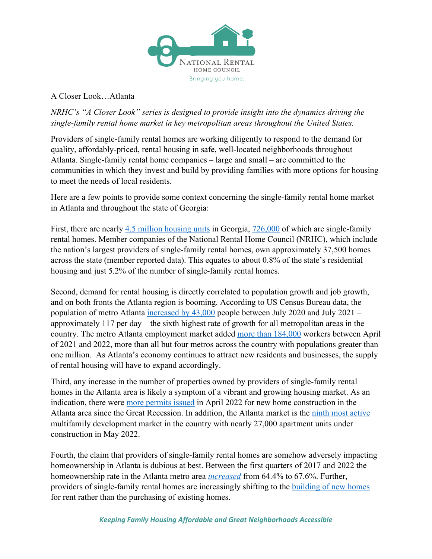

A Closer Look…Atlanta

*NRHC's "A Closer Look" series is designed to provide insight into the dynamics driving the single-family rental home market in key metropolitan areas throughout the United States.*

Providers of single-family rental homes are working diligently to respond to the demand for quality, affordably-priced, rental housing in safe, well-located neighborhoods throughout Atlanta. Single-family rental home companies – large and small – are committed to the communities in which they invest and build by providing families with more options for housing to meet the needs of local residents.

Here are a few points to provide some context concerning the single-family rental home market in Atlanta and throughout the state of Georgia:

First, there are nearly 4.5 million housing units in Georgia, 726,000 of which are single-family rental homes. Member companies of the National Rental Home Council (NRHC), which include the nation's largest providers of single-family rental homes, own approximately 37,500 homes across the state (member reported data). This equates to about 0.8% of the state's residential housing and just 5.2% of the number of single-family rental homes.

Second, demand for rental housing is directly correlated to population growth and job growth, and on both fronts the Atlanta region is booming. According to US Census Bureau data, the population of metro Atlanta increased by  $43,000$  people between July 2020 and July 2021 – approximately 117 per day – the sixth highest rate of growth for all metropolitan areas in the country. The metro Atlanta employment market added more than 184,000 workers between April of 2021 and 2022, more than all but four metros across the country with populations greater than one million. As Atlanta's economy continues to attract new residents and businesses, the supply of rental housing will have to expand accordingly.

Third, any increase in the number of properties owned by providers of single-family rental homes in the Atlanta area is likely a symptom of a vibrant and growing housing market. As an indication, there were more permits issued in April 2022 for new home construction in the Atlanta area since the Great Recession. In addition, the Atlanta market is the ninth most active multifamily development market in the country with nearly 27,000 apartment units under construction in May 2022.

Fourth, the claim that providers of single-family rental homes are somehow adversely impacting homeownership in Atlanta is dubious at best. Between the first quarters of 2017 and 2022 the homeownership rate in the Atlanta metro area *increased* from 64.4% to 67.6%. Further, providers of single-family rental homes are increasingly shifting to the building of new homes for rent rather than the purchasing of existing homes.